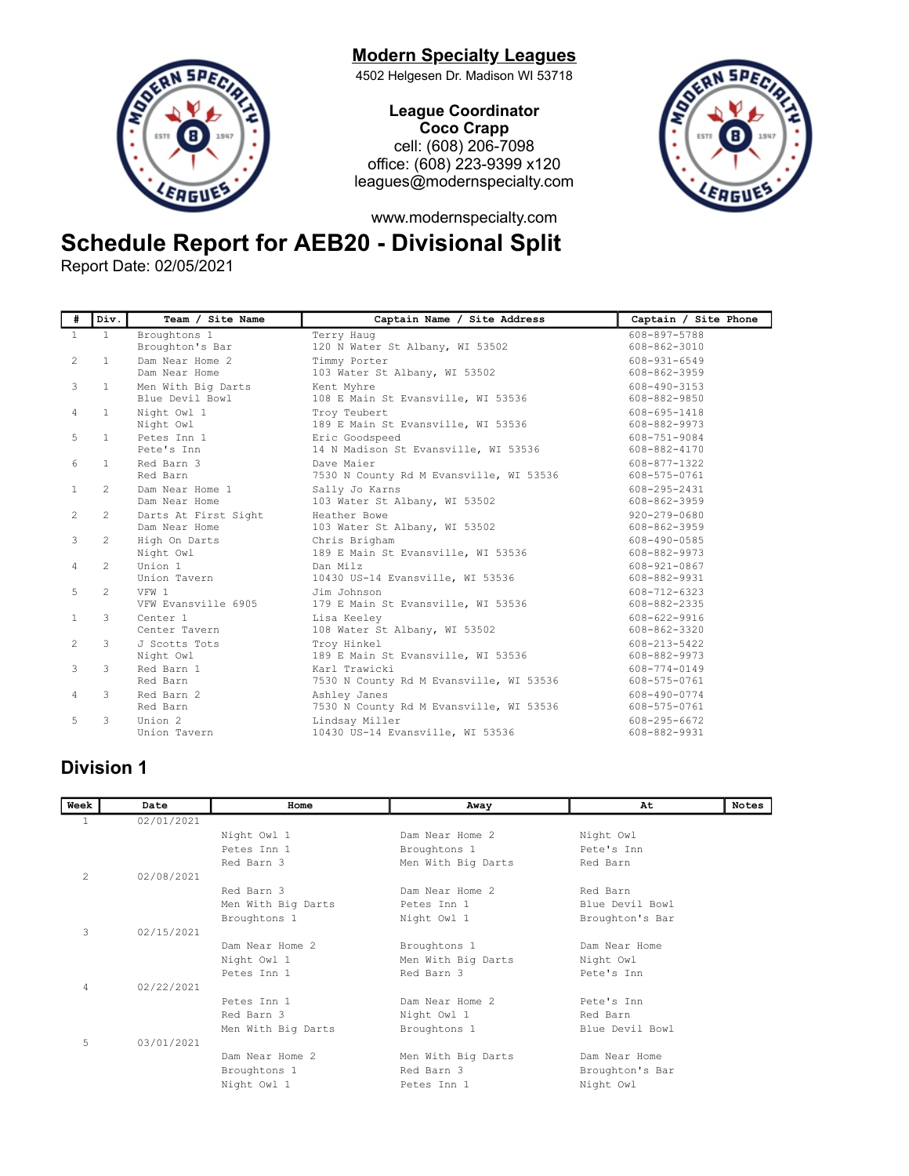# **Modern Specialty Leagues**



4502 Helgesen Dr. Madison WI 53718

League Coordinator Coco Crapp cell: (608) 206-7098 office: (608) 223-9399 x120 leagues@modernspecialty.com



www.modernspecialty.com

## Schedule Report for AEB20 - Divisional Split

Report Date: 02/05/2021

| #              | Div.           | Team / Site Name     | Captain Name / Site Address             | Captain / Site Phone |
|----------------|----------------|----------------------|-----------------------------------------|----------------------|
| $\mathbf{1}$   | $\overline{1}$ | Broughtons 1         | Terry Haug                              | 608-897-5788         |
|                |                | Broughton's Bar      | 120 N Water St Albany, WI 53502         | 608-862-3010         |
| $\overline{2}$ | $\mathbf{1}$   | Dam Near Home 2      | Timmy Porter                            | $608 - 931 - 6549$   |
|                |                | Dam Near Home        | 103 Water St Albany, WI 53502           | 608-862-3959         |
| 3              | $\mathbf{1}$   | Men With Big Darts   | Kent Myhre                              | 608-490-3153         |
|                |                | Blue Devil Bowl      | 108 E Main St Evansville, WI 53536      | 608-882-9850         |
| 4              | $\mathbf{1}$   | Night Owl 1          | Troy Teubert                            | 608-695-1418         |
|                |                | Night Owl            | 189 E Main St Evansville, WI 53536      | 608-882-9973         |
| 5              | $\mathbf{1}$   | Petes Inn 1          | Eric Goodspeed                          | 608-751-9084         |
|                |                | Pete's Inn           | 14 N Madison St Evansville, WI 53536    | 608-882-4170         |
| 6              | $\mathbf{1}$   | Red Barn 3           | Dave Maier                              | 608-877-1322         |
|                |                | Red Barn             | 7530 N County Rd M Evansville, WI 53536 | 608-575-0761         |
| $\mathbf{1}$   | $\mathfrak{D}$ | Dam Near Home 1      | Sally Jo Karns                          | 608-295-2431         |
|                |                | Dam Near Home        | 103 Water St Albany, WI 53502           | 608-862-3959         |
| $\overline{2}$ | 2              | Darts At First Sight | Heather Bowe                            | $920 - 279 - 0680$   |
|                |                | Dam Near Home        | 103 Water St Albany, WI 53502           | 608-862-3959         |
| 3              | 2              | High On Darts        | Chris Brigham                           | 608-490-0585         |
|                |                | Night Owl            | 189 E Main St Evansville, WI 53536      | 608-882-9973         |
| 4              | $\mathcal{L}$  | Union 1              | Dan Milz                                | 608-921-0867         |
|                |                | Union Tavern         | 10430 US-14 Evansville, WI 53536        | 608-882-9931         |
| 5              | $\mathcal{L}$  | VFW 1                | Jim Johnson                             | 608-712-6323         |
|                |                | VFW Evansville 6905  | 179 E Main St Evansville, WI 53536      | 608-882-2335         |
| $\mathbf{1}$   | 3              | Center 1             | Lisa Keelev                             | 608-622-9916         |
|                |                | Center Tavern        | 108 Water St Albany, WI 53502           | 608-862-3320         |
| $\overline{2}$ | 3              | J Scotts Tots        | Troy Hinkel                             | 608-213-5422         |
|                |                | Night Owl            | 189 E Main St Evansville, WI 53536      | 608-882-9973         |
| 3              | 3              | Red Barn 1           | Karl Trawicki                           | 608-774-0149         |
|                |                | Red Barn             | 7530 N County Rd M Evansville, WI 53536 | 608-575-0761         |
| 4              | 3              | Red Barn 2           | Ashley Janes                            | 608-490-0774         |
|                |                | Red Barn             | 7530 N County Rd M Evansville, WI 53536 | 608-575-0761         |
| 5              | 3              | Union 2              | Lindsay Miller                          | 608-295-6672         |
|                |                | Union Tavern         | 10430 US-14 Evansville, WI 53536        | 608-882-9931         |

#### Division 1

| Week           | Date       | Home               | Away               | At              | <b>Notes</b> |
|----------------|------------|--------------------|--------------------|-----------------|--------------|
| 1              | 02/01/2021 |                    |                    |                 |              |
|                |            | Night Owl 1        | Dam Near Home 2    | Night Owl       |              |
|                |            | Petes Inn 1        | Broughtons 1       | Pete's Inn      |              |
|                |            | Red Barn 3         | Men With Big Darts | Red Barn        |              |
| $\overline{c}$ | 02/08/2021 |                    |                    |                 |              |
|                |            | Red Barn 3         | Dam Near Home 2    | Red Barn        |              |
|                |            | Men With Big Darts | Petes Inn 1        | Blue Devil Bowl |              |
|                |            | Broughtons 1       | Night Owl 1        | Broughton's Bar |              |
| 3              | 02/15/2021 |                    |                    |                 |              |
|                |            | Dam Near Home 2    | Broughtons 1       | Dam Near Home   |              |
|                |            | Night Owl 1        | Men With Big Darts | Night Owl       |              |
|                |            | Petes Inn 1        | Red Barn 3         | Pete's Inn      |              |
| 4              | 02/22/2021 |                    |                    |                 |              |
|                |            | Petes Inn 1        | Dam Near Home 2    | Pete's Tnn      |              |
|                |            | Red Barn 3         | Night Owl 1        | Red Barn        |              |
|                |            | Men With Big Darts | Broughtons 1       | Blue Devil Bowl |              |
| 5              | 03/01/2021 |                    |                    |                 |              |
|                |            | Dam Near Home 2    | Men With Big Darts | Dam Near Home   |              |
|                |            | Broughtons 1       | Red Barn 3         | Broughton's Bar |              |
|                |            | Night Owl 1        | Petes Inn 1        | Night Owl       |              |
|                |            |                    |                    |                 |              |